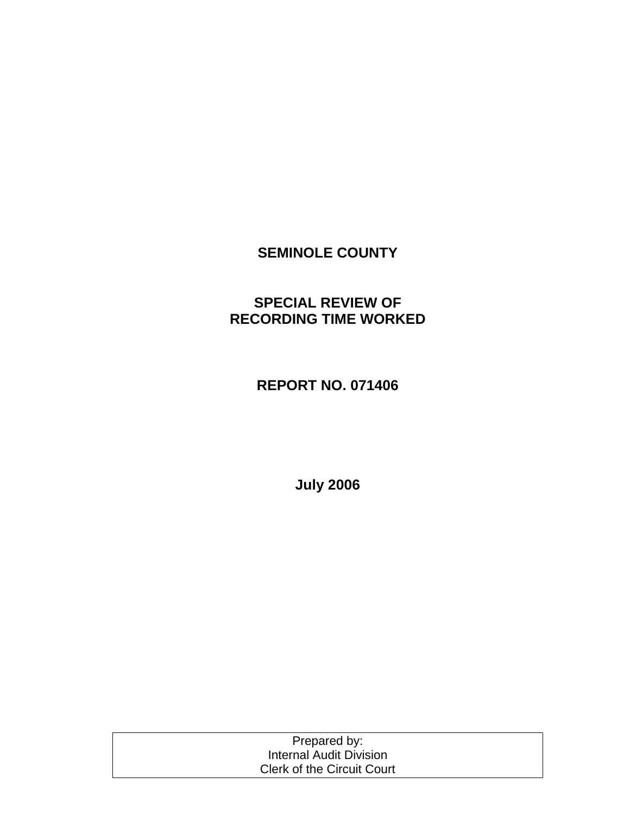## **SEMINOLE COUNTY**

## **SPECIAL REVIEW OF RECORDING TIME WORKED**

## **REPORT NO. 071406**

**July 2006** 

| Prepared by:                      |  |
|-----------------------------------|--|
| <b>Internal Audit Division</b>    |  |
| <b>Clerk of the Circuit Court</b> |  |
|                                   |  |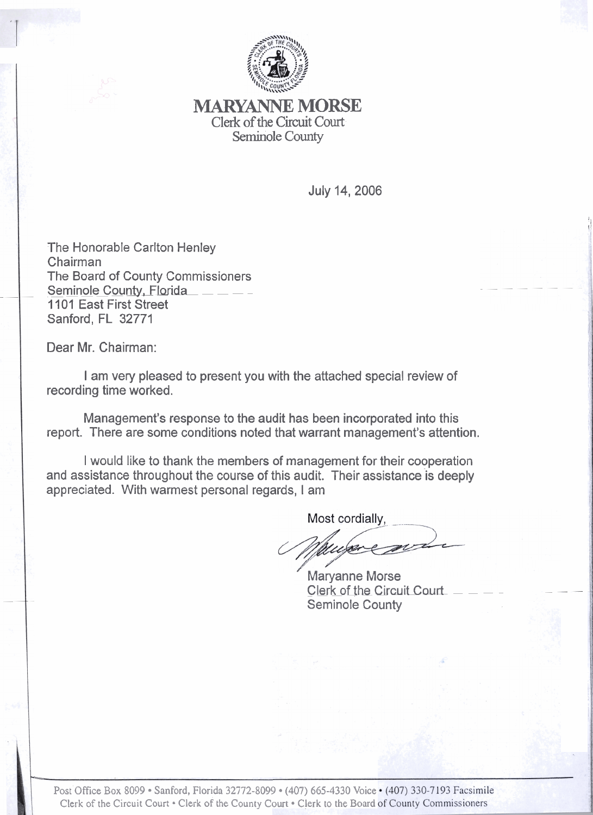

*NIARYANNE* **MORSE**  Clerk of the Circuit Court Seminole County

July 14, 2006

1 d.

The Honorable Carlton Henley Chairman Unamian<br>The Board of County Commissioners<br>Seminole County, Florida 1 101 East First Street Sanford, FL 32771

Dear Mr. Chairman:

I am very pleased to present you with the attached special review of recording time worked.

Management's response to the audit has been incorporated into this report. There are some conditions noted that warrant management's attention.

I would like to thank the members of management for their cooperation and assistance throughout the course of this audit. Their assistance is deeply appreciated. With warmest personal regards, I am

Most cordially,

**Maryanne Morse** Clerk of the Circuit Court Seminole County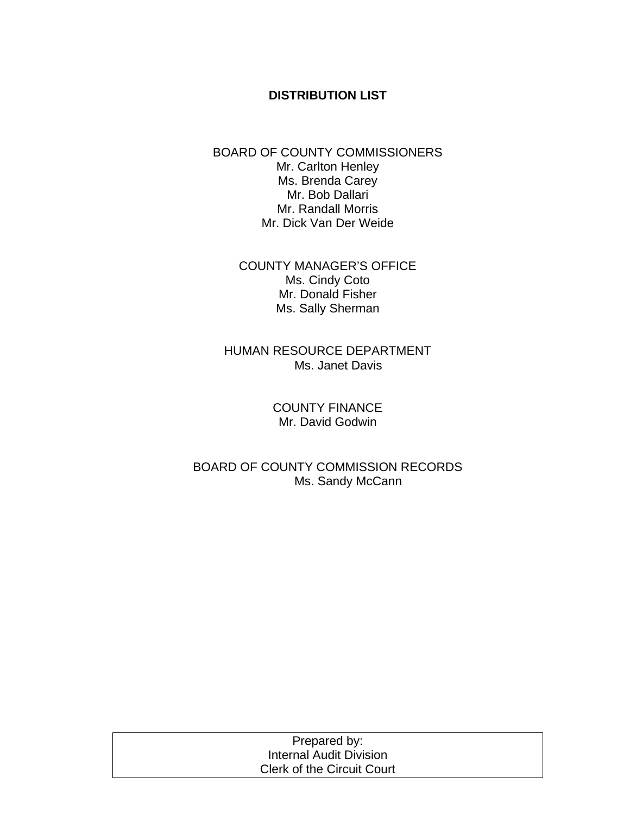### **DISTRIBUTION LIST**

#### BOARD OF COUNTY COMMISSIONERS Mr. Carlton Henley Ms. Brenda Carey Mr. Bob Dallari Mr. Randall Morris Mr. Dick Van Der Weide

COUNTY MANAGER'S OFFICE Ms. Cindy Coto Mr. Donald Fisher Ms. Sally Sherman

HUMAN RESOURCE DEPARTMENT Ms. Janet Davis

> COUNTY FINANCE Mr. David Godwin

BOARD OF COUNTY COMMISSION RECORDS Ms. Sandy McCann

| Prepared by:                      |  |
|-----------------------------------|--|
| Internal Audit Division           |  |
| <b>Clerk of the Circuit Court</b> |  |
|                                   |  |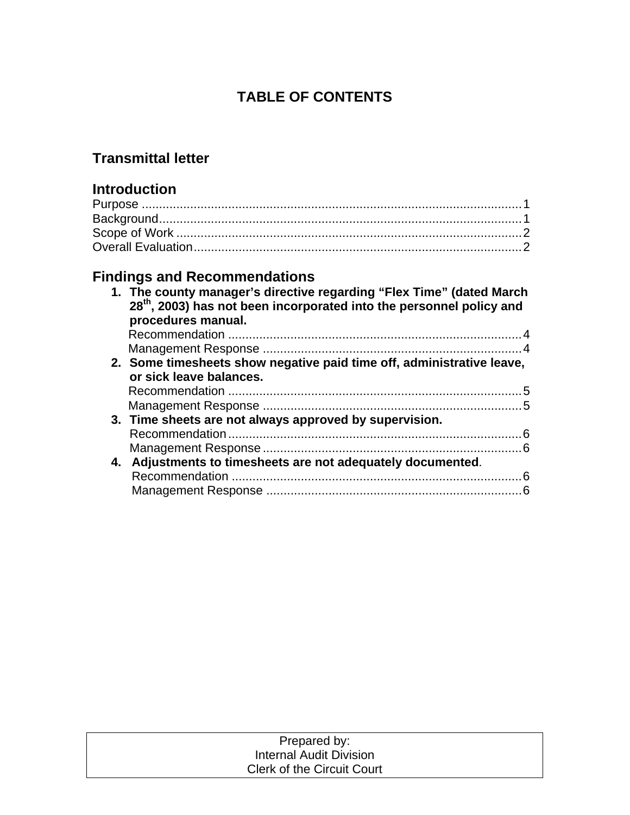# **TABLE OF CONTENTS**

## **Transmittal letter**

## **Introduction**

# **Findings and Recommendations**

| 1. The county manager's directive regarding "Flex Time" (dated March<br>28 <sup>th</sup> , 2003) has not been incorporated into the personnel policy and<br>procedures manual. |
|--------------------------------------------------------------------------------------------------------------------------------------------------------------------------------|
|                                                                                                                                                                                |
|                                                                                                                                                                                |
| 2. Some timesheets show negative paid time off, administrative leave,<br>or sick leave balances.                                                                               |
|                                                                                                                                                                                |
|                                                                                                                                                                                |
| 3. Time sheets are not always approved by supervision.                                                                                                                         |
|                                                                                                                                                                                |
|                                                                                                                                                                                |
| 4. Adjustments to timesheets are not adequately documented.                                                                                                                    |
|                                                                                                                                                                                |
|                                                                                                                                                                                |

| Prepared by:                      |  |
|-----------------------------------|--|
| Internal Audit Division           |  |
| <b>Clerk of the Circuit Court</b> |  |
|                                   |  |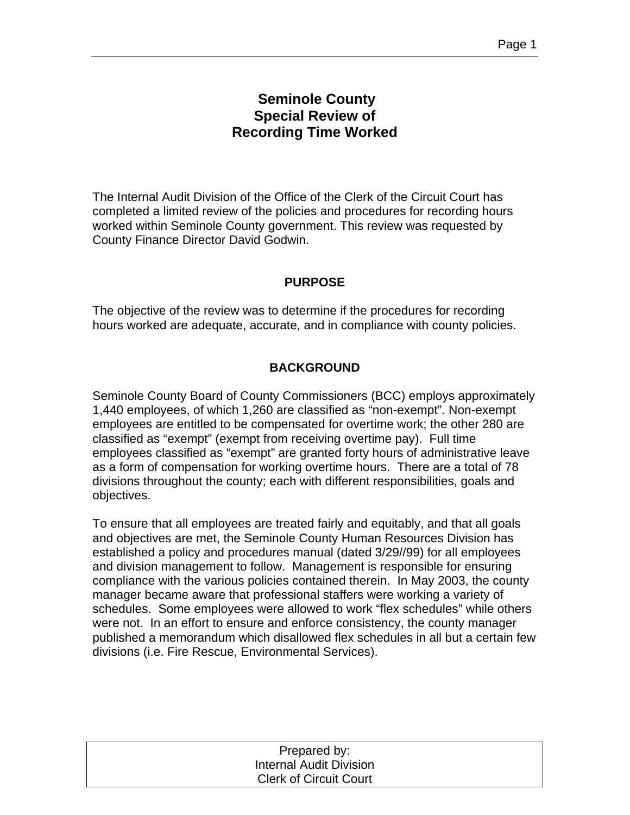## **Seminole County Special Review of Recording Time Worked**

The Internal Audit Division of the Office of the Clerk of the Circuit Court has completed a limited review of the policies and procedures for recording hours worked within Seminole County government. This review was requested by County Finance Director David Godwin.

### **PURPOSE**

The objective of the review was to determine if the procedures for recording hours worked are adequate, accurate, and in compliance with county policies.

## **BACKGROUND**

Seminole County Board of County Commissioners (BCC) employs approximately 1,440 employees, of which 1,260 are classified as "non-exempt". Non-exempt employees are entitled to be compensated for overtime work; the other 280 are classified as "exempt" (exempt from receiving overtime pay). Full time employees classified as "exempt" are granted forty hours of administrative leave as a form of compensation for working overtime hours. There are a total of 78 divisions throughout the county; each with different responsibilities, goals and objectives.

To ensure that all employees are treated fairly and equitably, and that all goals and objectives are met, the Seminole County Human Resources Division has established a policy and procedures manual (dated 3/29//99) for all employees and division management to follow. Management is responsible for ensuring compliance with the various policies contained therein. In May 2003, the county manager became aware that professional staffers were working a variety of schedules. Some employees were allowed to work "flex schedules" while others were not. In an effort to ensure and enforce consistency, the county manager published a memorandum which disallowed flex schedules in all but a certain few divisions (i.e. Fire Rescue, Environmental Services).

| Prepared by:                   |  |
|--------------------------------|--|
| <b>Internal Audit Division</b> |  |
| <b>Clerk of Circuit Court</b>  |  |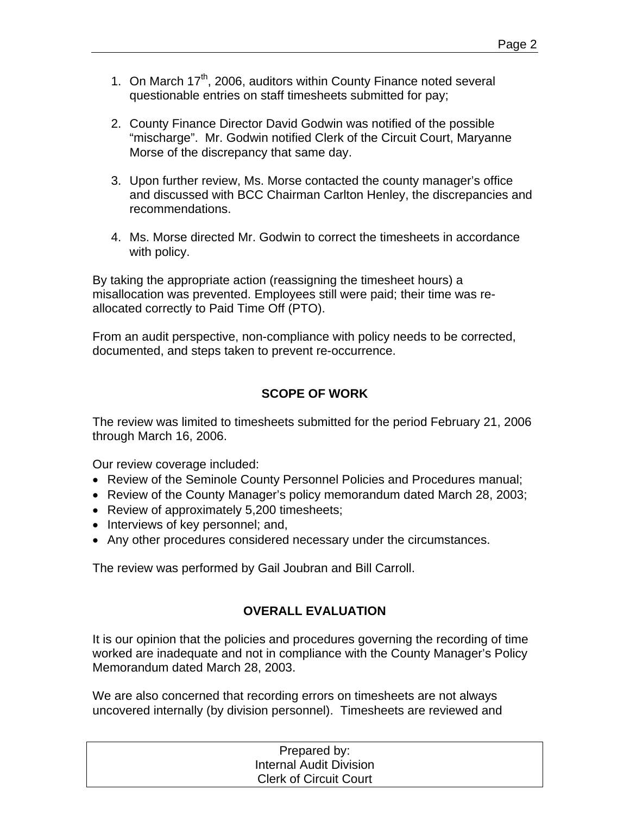- 1. On March 17<sup>th</sup>, 2006, auditors within County Finance noted several questionable entries on staff timesheets submitted for pay;
- 2. County Finance Director David Godwin was notified of the possible "mischarge". Mr. Godwin notified Clerk of the Circuit Court, Maryanne Morse of the discrepancy that same day.
- 3. Upon further review, Ms. Morse contacted the county manager's office and discussed with BCC Chairman Carlton Henley, the discrepancies and recommendations.
- 4. Ms. Morse directed Mr. Godwin to correct the timesheets in accordance with policy.

By taking the appropriate action (reassigning the timesheet hours) a misallocation was prevented. Employees still were paid; their time was reallocated correctly to Paid Time Off (PTO).

From an audit perspective, non-compliance with policy needs to be corrected, documented, and steps taken to prevent re-occurrence.

## **SCOPE OF WORK**

The review was limited to timesheets submitted for the period February 21, 2006 through March 16, 2006.

Our review coverage included:

- Review of the Seminole County Personnel Policies and Procedures manual;
- Review of the County Manager's policy memorandum dated March 28, 2003;
- Review of approximately 5,200 timesheets;
- Interviews of key personnel; and,
- Any other procedures considered necessary under the circumstances.

The review was performed by Gail Joubran and Bill Carroll.

## **OVERALL EVALUATION**

It is our opinion that the policies and procedures governing the recording of time worked are inadequate and not in compliance with the County Manager's Policy Memorandum dated March 28, 2003.

We are also concerned that recording errors on timesheets are not always uncovered internally (by division personnel). Timesheets are reviewed and

| Prepared by:                   |
|--------------------------------|
| <b>Internal Audit Division</b> |
| <b>Clerk of Circuit Court</b>  |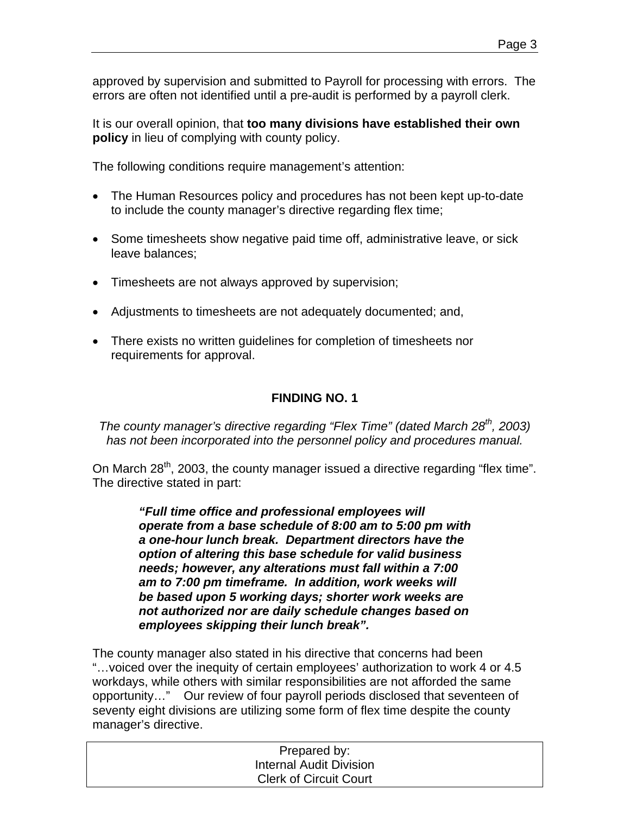approved by supervision and submitted to Payroll for processing with errors. The errors are often not identified until a pre-audit is performed by a payroll clerk.

It is our overall opinion, that **too many divisions have established their own policy** in lieu of complying with county policy.

The following conditions require management's attention:

- The Human Resources policy and procedures has not been kept up-to-date to include the county manager's directive regarding flex time;
- Some timesheets show negative paid time off, administrative leave, or sick leave balances;
- Timesheets are not always approved by supervision;
- Adjustments to timesheets are not adequately documented; and,
- There exists no written guidelines for completion of timesheets nor requirements for approval.

#### **FINDING NO. 1**

*The county manager's directive regarding "Flex Time" (dated March 28<sup>th</sup>, 2003) has not been incorporated into the personnel policy and procedures manual.*

On March 28<sup>th</sup>, 2003, the county manager issued a directive regarding "flex time". The directive stated in part:

> *"Full time office and professional employees will operate from a base schedule of 8:00 am to 5:00 pm with a one-hour lunch break. Department directors have the option of altering this base schedule for valid business needs; however, any alterations must fall within a 7:00 am to 7:00 pm timeframe. In addition, work weeks will be based upon 5 working days; shorter work weeks are not authorized nor are daily schedule changes based on employees skipping their lunch break".*

The county manager also stated in his directive that concerns had been "…voiced over the inequity of certain employees' authorization to work 4 or 4.5 workdays, while others with similar responsibilities are not afforded the same opportunity…" Our review of four payroll periods disclosed that seventeen of seventy eight divisions are utilizing some form of flex time despite the county manager's directive.

| Prepared by:                  |  |
|-------------------------------|--|
| Internal Audit Division       |  |
| <b>Clerk of Circuit Court</b> |  |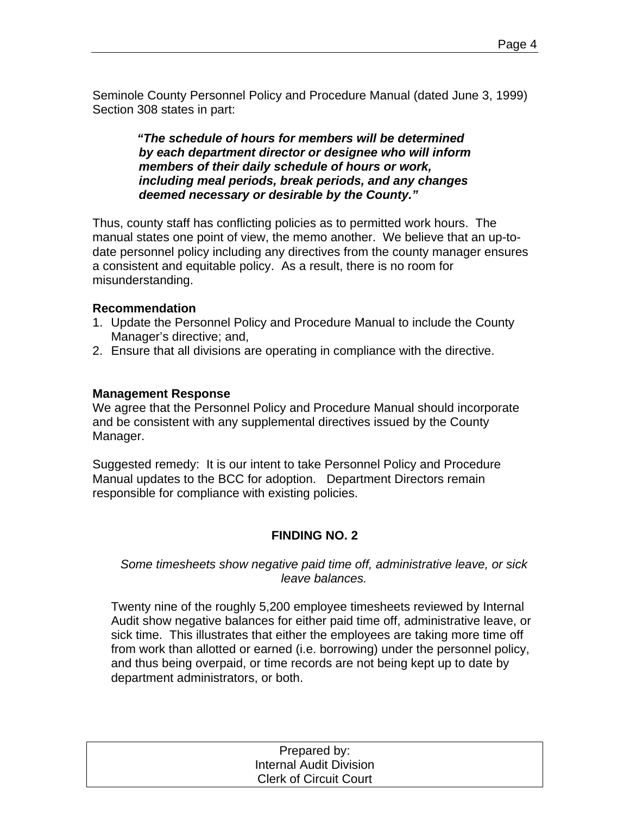Seminole County Personnel Policy and Procedure Manual (dated June 3, 1999) Section 308 states in part:

> *"The schedule of hours for members will be determined by each department director or designee who will inform members of their daily schedule of hours or work, including meal periods, break periods, and any changes deemed necessary or desirable by the County."*

Thus, county staff has conflicting policies as to permitted work hours. The manual states one point of view, the memo another. We believe that an up-todate personnel policy including any directives from the county manager ensures a consistent and equitable policy. As a result, there is no room for misunderstanding.

#### **Recommendation**

- 1. Update the Personnel Policy and Procedure Manual to include the County Manager's directive; and,
- 2. Ensure that all divisions are operating in compliance with the directive.

#### **Management Response**

We agree that the Personnel Policy and Procedure Manual should incorporate and be consistent with any supplemental directives issued by the County Manager.

Suggested remedy: It is our intent to take Personnel Policy and Procedure Manual updates to the BCC for adoption. Department Directors remain responsible for compliance with existing policies.

#### **FINDING NO. 2**

#### *Some timesheets show negative paid time off, administrative leave, or sick leave balances.*

Twenty nine of the roughly 5,200 employee timesheets reviewed by Internal Audit show negative balances for either paid time off, administrative leave, or sick time. This illustrates that either the employees are taking more time off from work than allotted or earned (i.e. borrowing) under the personnel policy, and thus being overpaid, or time records are not being kept up to date by department administrators, or both.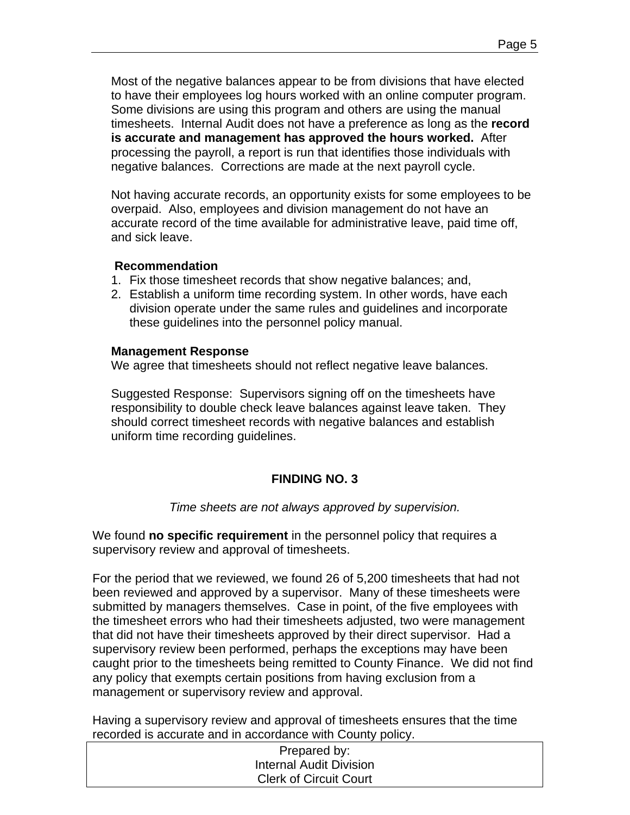Most of the negative balances appear to be from divisions that have elected to have their employees log hours worked with an online computer program. Some divisions are using this program and others are using the manual timesheets. Internal Audit does not have a preference as long as the **record is accurate and management has approved the hours worked.** After processing the payroll, a report is run that identifies those individuals with negative balances. Corrections are made at the next payroll cycle.

Not having accurate records, an opportunity exists for some employees to be overpaid. Also, employees and division management do not have an accurate record of the time available for administrative leave, paid time off, and sick leave.

#### **Recommendation**

- 1. Fix those timesheet records that show negative balances; and,
- 2. Establish a uniform time recording system. In other words, have each division operate under the same rules and guidelines and incorporate these guidelines into the personnel policy manual.

#### **Management Response**

We agree that timesheets should not reflect negative leave balances.

Suggested Response: Supervisors signing off on the timesheets have responsibility to double check leave balances against leave taken. They should correct timesheet records with negative balances and establish uniform time recording guidelines.

## **FINDING NO. 3**

*Time sheets are not always approved by supervision.* 

We found **no specific requirement** in the personnel policy that requires a supervisory review and approval of timesheets.

For the period that we reviewed, we found 26 of 5,200 timesheets that had not been reviewed and approved by a supervisor. Many of these timesheets were submitted by managers themselves. Case in point, of the five employees with the timesheet errors who had their timesheets adjusted, two were management that did not have their timesheets approved by their direct supervisor. Had a supervisory review been performed, perhaps the exceptions may have been caught prior to the timesheets being remitted to County Finance. We did not find any policy that exempts certain positions from having exclusion from a management or supervisory review and approval.

Having a supervisory review and approval of timesheets ensures that the time recorded is accurate and in accordance with County policy.

| Prepared by:                  |  |
|-------------------------------|--|
| Internal Audit Division       |  |
| <b>Clerk of Circuit Court</b> |  |